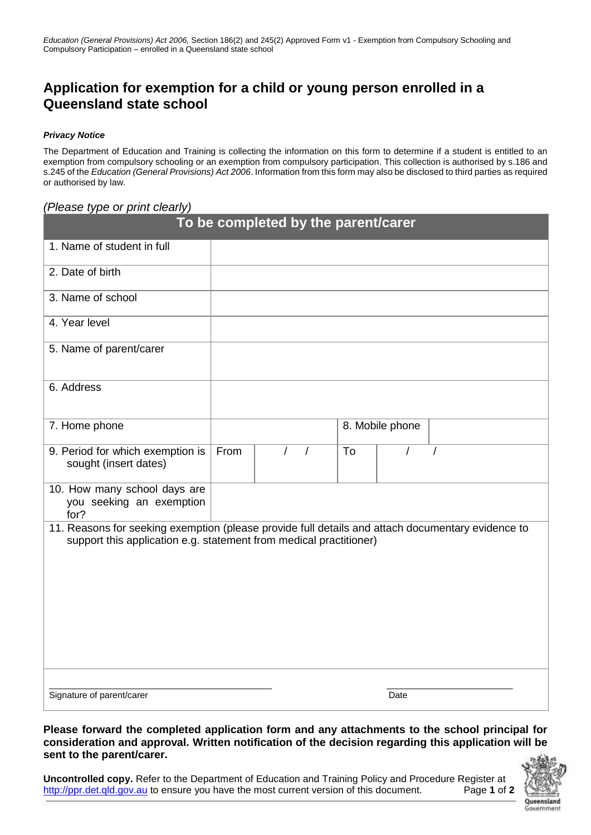## **Application for exemption for a child or young person enrolled in a Queensland state school**

## *Privacy Notice*

The Department of Education and Training is collecting the information on this form to determine if a student is entitled to an exemption from compulsory schooling or an exemption from compulsory participation. This collection is authorised by s.186 and s.245 of the *Education (General Provisions) Act 2006*. Information from this form may also be disclosed to third parties as required or authorised by law.

## *(Please type or print clearly)*

| To be completed by the parent/carer                                                                                                                                     |      |                        |                 |      |  |
|-------------------------------------------------------------------------------------------------------------------------------------------------------------------------|------|------------------------|-----------------|------|--|
| 1. Name of student in full                                                                                                                                              |      |                        |                 |      |  |
| 2. Date of birth                                                                                                                                                        |      |                        |                 |      |  |
| 3. Name of school                                                                                                                                                       |      |                        |                 |      |  |
| 4. Year level                                                                                                                                                           |      |                        |                 |      |  |
| 5. Name of parent/carer                                                                                                                                                 |      |                        |                 |      |  |
| 6. Address                                                                                                                                                              |      |                        |                 |      |  |
| 7. Home phone                                                                                                                                                           |      |                        | 8. Mobile phone |      |  |
| 9. Period for which exemption is<br>sought (insert dates)                                                                                                               | From | $\prime$<br>$\sqrt{ }$ | To              |      |  |
| 10. How many school days are<br>you seeking an exemption<br>for?                                                                                                        |      |                        |                 |      |  |
| 11. Reasons for seeking exemption (please provide full details and attach documentary evidence to<br>support this application e.g. statement from medical practitioner) |      |                        |                 |      |  |
|                                                                                                                                                                         |      |                        |                 |      |  |
| Signature of parent/carer                                                                                                                                               |      |                        |                 | Date |  |

**Please forward the completed application form and any attachments to the school principal for consideration and approval. Written notification of the decision regarding this application will be sent to the parent/carer.**

**Uncontrolled copy.** Refer to the Department of Education and Training Policy and Procedure Register at [http://ppr.det.qld.gov.au](http://ppr.det.qld.gov.au/) to ensure you have the most current version of this document. Page **1** of **2**